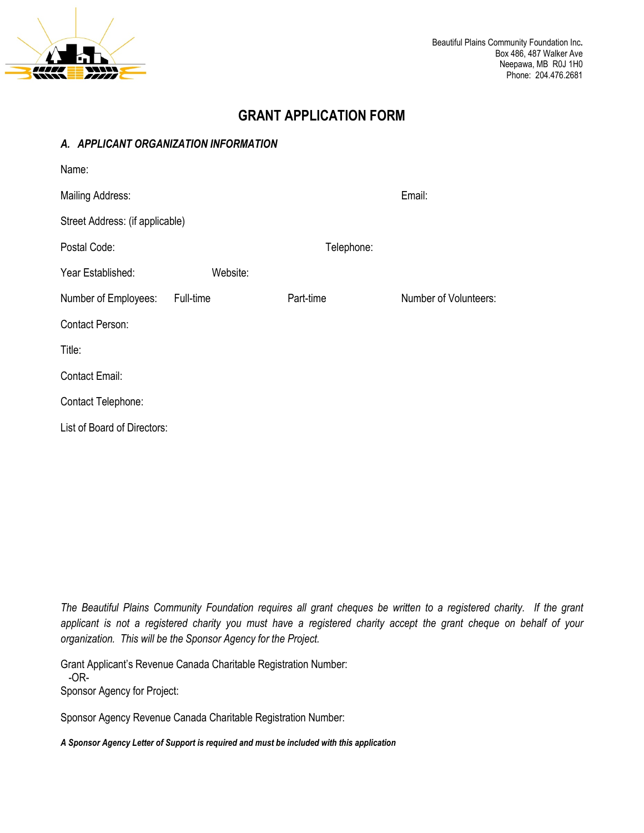

# **GRANT APPLICATION FORM**

### *A. APPLICANT ORGANIZATION INFORMATION*

| Name:                           |           |            |                       |
|---------------------------------|-----------|------------|-----------------------|
| Mailing Address:                |           |            | Email:                |
| Street Address: (if applicable) |           |            |                       |
| Postal Code:                    |           | Telephone: |                       |
| Year Established:               | Website:  |            |                       |
| Number of Employees:            | Full-time | Part-time  | Number of Volunteers: |
| <b>Contact Person:</b>          |           |            |                       |
| Title:                          |           |            |                       |
| <b>Contact Email:</b>           |           |            |                       |
| Contact Telephone:              |           |            |                       |
| List of Board of Directors:     |           |            |                       |

*The Beautiful Plains Community Foundation requires all grant cheques be written to a registered charity. If the grant applicant is not a registered charity you must have a registered charity accept the grant cheque on behalf of your organization. This will be the Sponsor Agency for the Project.* 

Grant Applicant's Revenue Canada Charitable Registration Number:

 -OR-Sponsor Agency for Project:

Sponsor Agency Revenue Canada Charitable Registration Number:

*A Sponsor Agency Letter of Support is required and must be included with this application*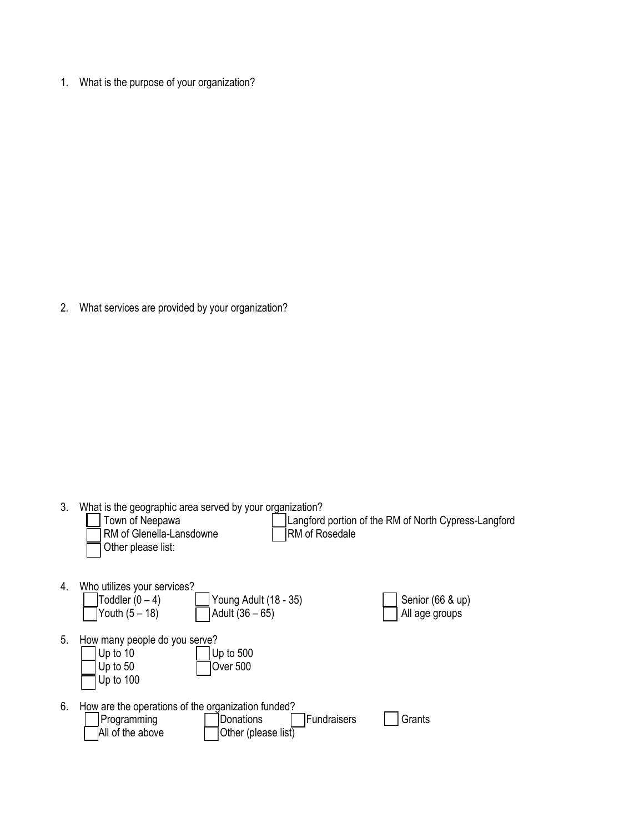1. What is the purpose of your organization?

2. What services are provided by your organization?

3. What is the geographic area served by your organization?

|    | Town of Neepawa<br>RM of Glenella-Lansdowne<br>RM of Rosedale<br>Other please list:                                                      | Langford portion of the RM of North Cypress-Langford |
|----|------------------------------------------------------------------------------------------------------------------------------------------|------------------------------------------------------|
| 4. | Who utilizes your services?<br>Toddler $(0 - 4)$<br>Young Adult (18 - 35)<br>Youth $(5 - 18)$<br>Adult (36 – 65)                         | Senior (66 & up)<br>All age groups                   |
| 5. | How many people do you serve?<br>Up to $500$<br>Up to 10<br>Over 500<br>Up to $50$<br>Up to 100                                          |                                                      |
| 6. | How are the operations of the organization funded?<br>Fundraisers<br>Donations<br>Programming<br>All of the above<br>Other (please list) | Grants                                               |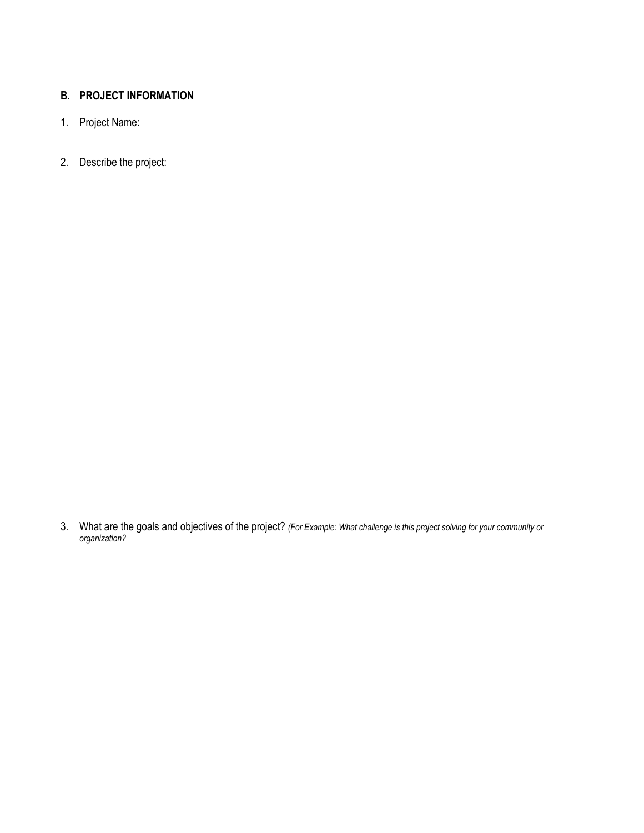## **B. PROJECT INFORMATION**

- 1. Project Name:
- 2. Describe the project:

3. What are the goals and objectives of the project? *(For Example: What challenge is this project solving for your community or organization?*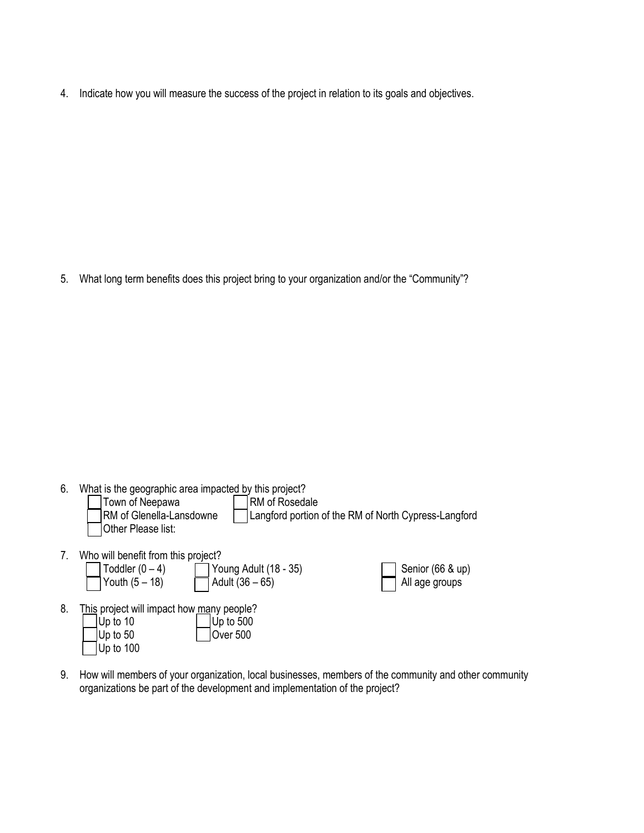4. Indicate how you will measure the success of the project in relation to its goals and objectives.

5. What long term benefits does this project bring to your organization and/or the "Community"?

- 6. What is the geographic area impacted by this project? Town of Neepawa<br>RM of Glenella-Lansdowne | RM of Rosedale Langford portion of the RM of North Cypress-Langford Other Please list: 7. Who will benefit from this project?<br>  $\Box$  Toddler  $(0-4)$ Young Adult  $(18 - 35)$  Senior  $(66 \& up)$ Youth  $(5 - 18)$   $\Box$  Adult  $(36 - 65)$ 8. This project will impact how many people?  $|U_{\text{D}}|$  to 10  $|U_{\text{D}}|$  to 500
- $|Up to 50$   $|Over 500$ Up to 100
- 9. How will members of your organization, local businesses, members of the community and other community organizations be part of the development and implementation of the project?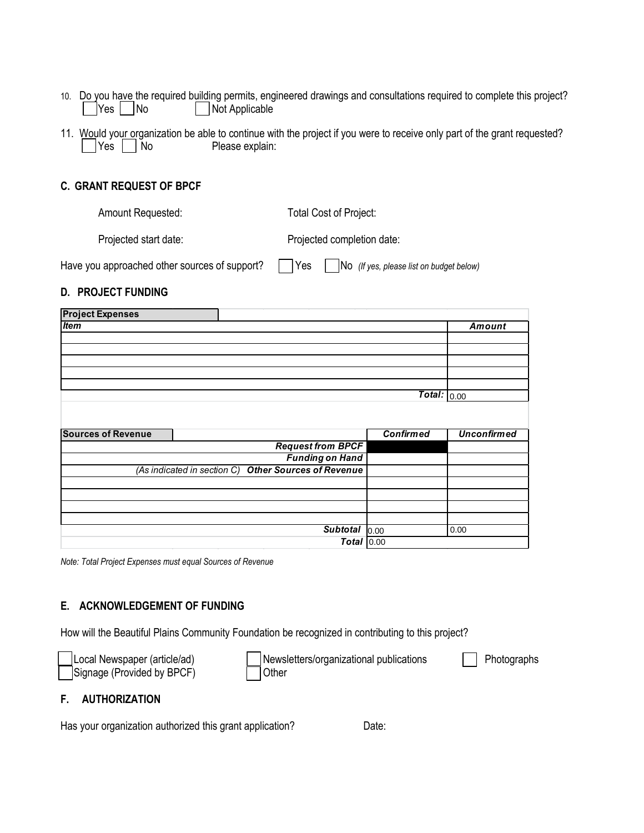- 10. Do you have the required building permits, engineered drawings and consultations required to complete this project? | |Yes | |No | | | | Not Applicable
- 11. Would your organization be able to continue with the project if you were to receive only part of the grant requested? | Yes | No Please explain:

### **C. GRANT REQUEST OF BPCF**

Amount Requested: Total Cost of Project:

Projected start date: Projected completion date:

| Have you approached other sources of support? |  | Yes |  |  | No (If yes, please list on budget below) |
|-----------------------------------------------|--|-----|--|--|------------------------------------------|
|-----------------------------------------------|--|-----|--|--|------------------------------------------|

#### **D. PROJECT FUNDING**

| <b>Project Expenses</b>   |                                                      |                  |                    |
|---------------------------|------------------------------------------------------|------------------|--------------------|
| <b>Item</b>               |                                                      |                  | Amount             |
|                           |                                                      |                  |                    |
|                           |                                                      |                  |                    |
|                           |                                                      |                  |                    |
|                           |                                                      |                  |                    |
|                           |                                                      |                  |                    |
|                           |                                                      | Total: $_{0.00}$ |                    |
|                           |                                                      |                  |                    |
|                           |                                                      |                  |                    |
|                           |                                                      |                  |                    |
| <b>Sources of Revenue</b> |                                                      | <b>Confirmed</b> | <b>Unconfirmed</b> |
|                           | <b>Request from BPCF</b>                             |                  |                    |
|                           | <b>Funding on Hand</b>                               |                  |                    |
|                           | (As indicated in section C) Other Sources of Revenue |                  |                    |
|                           |                                                      |                  |                    |
|                           |                                                      |                  |                    |
|                           |                                                      |                  |                    |
|                           |                                                      |                  |                    |
|                           | <b>Subtotal</b>                                      | 0.00             | 0.00               |

*Note: Total Project Expenses must equal Sources of Revenue*

#### **E. ACKNOWLEDGEMENT OF FUNDING**

How will the Beautiful Plains Community Foundation be recognized in contributing to this project?

| Local Newspaper (article/ad) | Newsletters/organizational publications | Photographs |
|------------------------------|-----------------------------------------|-------------|
| Signage (Provided by BPCF)   | Other                                   |             |

#### **F. AUTHORIZATION**

Has your organization authorized this grant application? Date: